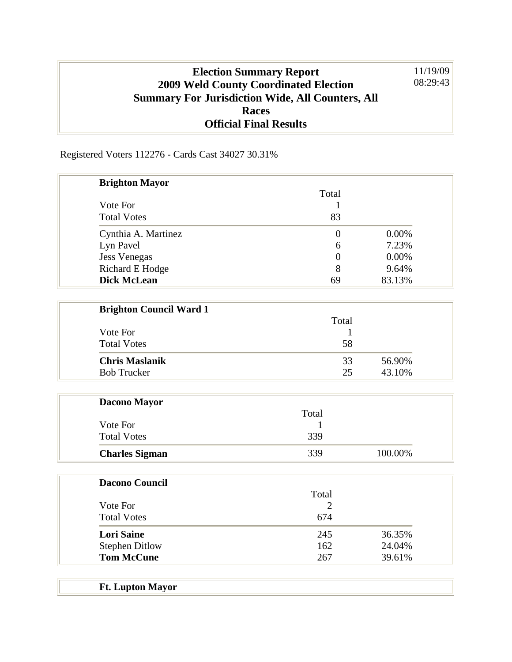## **Election Summary Report 2009 Weld County Coordinated Election Summary For Jurisdiction Wide, All Counters, All Races Official Final Results** 11/19/09 08:29:43

Registered Voters 112276 - Cards Cast 34027 30.31%

| <b>Brighton Mayor</b>  |                |          |
|------------------------|----------------|----------|
|                        | Total          |          |
| Vote For               |                |          |
| <b>Total Votes</b>     | 83             |          |
| Cynthia A. Martinez    | $\theta$       | $0.00\%$ |
| Lyn Pavel              | 6              | 7.23%    |
| <b>Jess Venegas</b>    | $\overline{0}$ | 0.00%    |
| <b>Richard E Hodge</b> | 8              | 9.64%    |
| <b>Dick McLean</b>     | 69             | 83.13%   |

| <b>Brighton Council Ward 1</b> |       |        |
|--------------------------------|-------|--------|
|                                | Total |        |
| Vote For                       |       |        |
| <b>Total Votes</b>             | 58    |        |
| <b>Chris Maslanik</b>          | 33    | 56.90% |
| <b>Bob Trucker</b>             | 25    | 43.10% |

| <b>Dacono Mayor</b>   |       |         |
|-----------------------|-------|---------|
|                       | Total |         |
| Vote For              |       |         |
| <b>Total Votes</b>    | 339   |         |
| <b>Charles Sigman</b> | 339   | 100.00% |

| <b>Dacono Council</b> |       |        |
|-----------------------|-------|--------|
|                       | Total |        |
| Vote For              |       |        |
| <b>Total Votes</b>    | 674   |        |
| <b>Lori Saine</b>     | 245   | 36.35% |
| <b>Stephen Ditlow</b> | 162   | 24.04% |
| <b>Tom McCune</b>     | 267   | 39.61% |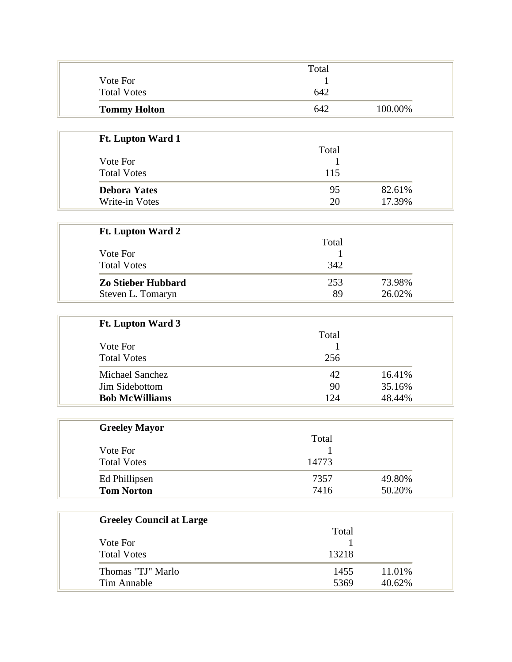|                     | Total |         |
|---------------------|-------|---------|
| Vote For            |       |         |
| <b>Total Votes</b>  | 642   |         |
| <b>Tommy Holton</b> | 642   | 100.00% |

| <b>Ft. Lupton Ward 1</b> |       |        |
|--------------------------|-------|--------|
|                          | Total |        |
| Vote For                 |       |        |
| <b>Total Votes</b>       | 115   |        |
| <b>Debora Yates</b>      | 95    | 82.61% |
| Write-in Votes           | 20    | 17.39% |

| <b>Ft. Lupton Ward 2</b>       |       |        |
|--------------------------------|-------|--------|
|                                | Total |        |
| Vote For<br><b>Total Votes</b> |       |        |
|                                | 342   |        |
| Zo Stieber Hubbard             | 253   | 73.98% |
| Steven L. Tomaryn              | 89    | 26.02% |

| <b>Ft. Lupton Ward 3</b> |       |        |
|--------------------------|-------|--------|
|                          | Total |        |
| Vote For                 |       |        |
| <b>Total Votes</b>       | 256   |        |
| <b>Michael Sanchez</b>   | 42    | 16.41% |
| Jim Sidebottom           | 90    | 35.16% |
| <b>Bob McWilliams</b>    | 124   | 48.44% |

| <b>Greeley Mayor</b> |       |        |
|----------------------|-------|--------|
|                      | Total |        |
| Vote For             |       |        |
| <b>Total Votes</b>   | 14773 |        |
| Ed Phillipsen        | 7357  | 49.80% |
| <b>Tom Norton</b>    | 7416  | 50.20% |

| <b>Greeley Council at Large</b> |       |        |
|---------------------------------|-------|--------|
|                                 | Total |        |
| Vote For                        |       |        |
| <b>Total Votes</b>              | 13218 |        |
| Thomas "TJ" Marlo               | 1455  | 11.01% |
| Tim Annable                     | 5369  | 40.62% |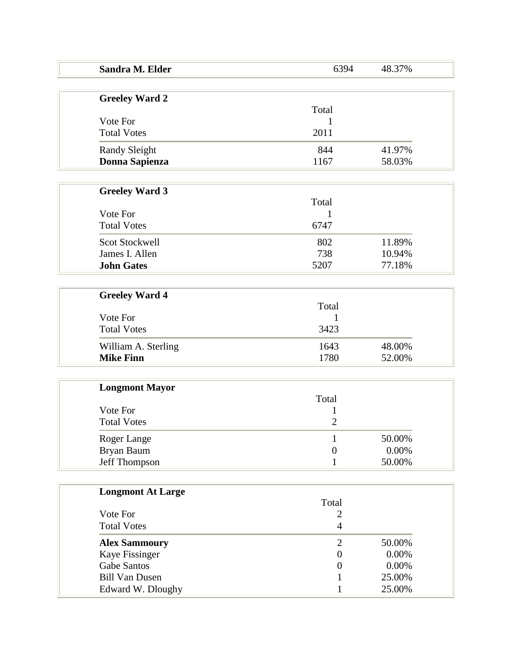| Sandra M. Elder          | 6394                    | 48.37% |
|--------------------------|-------------------------|--------|
|                          |                         |        |
| <b>Greeley Ward 2</b>    | Total                   |        |
| Vote For                 | 1                       |        |
| <b>Total Votes</b>       | 2011                    |        |
| <b>Randy Sleight</b>     | 844                     | 41.97% |
| Donna Sapienza           | 1167                    | 58.03% |
|                          |                         |        |
| <b>Greeley Ward 3</b>    | Total                   |        |
| Vote For                 | 1                       |        |
| <b>Total Votes</b>       | 6747                    |        |
| <b>Scot Stockwell</b>    | 802                     | 11.89% |
| James I. Allen           | 738                     | 10.94% |
| <b>John Gates</b>        | 5207                    | 77.18% |
|                          |                         |        |
| <b>Greeley Ward 4</b>    |                         |        |
|                          | Total                   |        |
| Vote For                 | 1                       |        |
| <b>Total Votes</b>       | 3423                    |        |
| William A. Sterling      | 1643                    | 48.00% |
| <b>Mike Finn</b>         | 1780                    | 52.00% |
|                          |                         |        |
| <b>Longmont Mayor</b>    | Total                   |        |
| Vote For                 | $\mathbf 1$             |        |
| <b>Total Votes</b>       | $\overline{2}$          |        |
| Roger Lange              | 1                       | 50.00% |
| Bryan Baum               | $\theta$                | 0.00%  |
| Jeff Thompson            | 1                       | 50.00% |
|                          |                         |        |
| <b>Longmont At Large</b> |                         |        |
| Vote For                 | Total<br>$\overline{c}$ |        |
| <b>Total Votes</b>       | $\overline{4}$          |        |
| <b>Alex Sammoury</b>     | $\overline{2}$          | 50.00% |
| Kaye Fissinger           | $\boldsymbol{0}$        | 0.00%  |
| <b>Gabe Santos</b>       | $\boldsymbol{0}$        | 0.00%  |
| <b>Bill Van Dusen</b>    | 1                       | 25.00% |
| Edward W. Dloughy        | 1                       | 25.00% |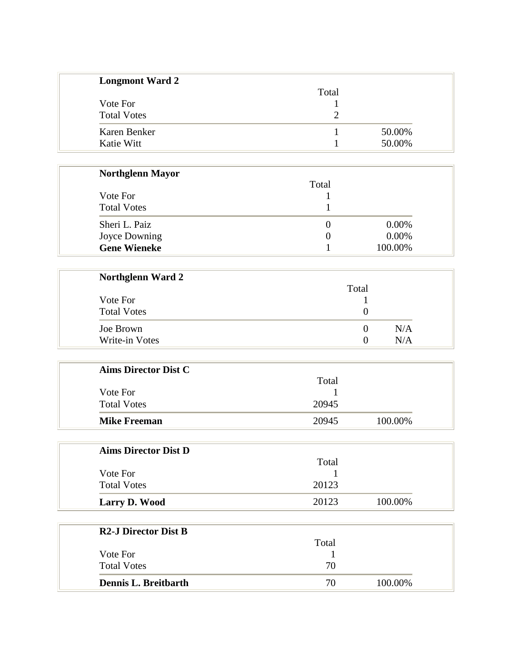| <b>Longmont Ward 2</b> |       |        |
|------------------------|-------|--------|
|                        | Total |        |
| Vote For               |       |        |
| <b>Total Votes</b>     |       |        |
| Karen Benker           |       | 50.00% |
| Katie Witt             |       | 50.00% |

| <b>Northglenn Mayor</b> |          |         |
|-------------------------|----------|---------|
|                         | Total    |         |
| Vote For                |          |         |
| <b>Total Votes</b>      |          |         |
| Sheri L. Paiz           | $\theta$ | 0.00%   |
| Joyce Downing           | $\theta$ | 0.00%   |
| <b>Gene Wieneke</b>     |          | 100.00% |

| <b>Northglenn Ward 2</b> |                   |     |
|--------------------------|-------------------|-----|
|                          | Total             |     |
| Vote For                 |                   |     |
| <b>Total Votes</b>       |                   |     |
| Joe Brown                |                   | N/A |
| Write-in Votes           | $\mathbf{\Omega}$ | N/A |

| <b>Aims Director Dist C</b> |       |         |
|-----------------------------|-------|---------|
|                             | Total |         |
| Vote For                    |       |         |
| <b>Total Votes</b>          | 20945 |         |
| <b>Mike Freeman</b>         | 20945 | 100.00% |

| <b>Aims Director Dist D</b> |       |         |
|-----------------------------|-------|---------|
|                             | Total |         |
| Vote For                    |       |         |
| <b>Total Votes</b>          | 20123 |         |
| Larry D. Wood               | 20123 | 100.00% |

| <b>R2-J Director Dist B</b> |       |         |
|-----------------------------|-------|---------|
|                             | Total |         |
| Vote For                    |       |         |
| <b>Total Votes</b>          | 70    |         |
| Dennis L. Breitbarth        | 70    | 100.00% |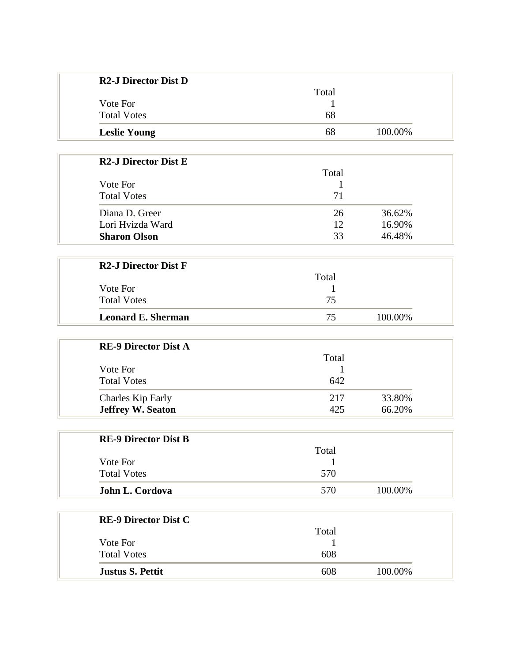| <b>R2-J Director Dist D</b> |       |         |
|-----------------------------|-------|---------|
|                             | Total |         |
| Vote For                    |       |         |
| <b>Total Votes</b>          | 68    |         |
| <b>Leslie Young</b>         | 68    | 100.00% |

| <b>R2-J Director Dist E</b> |       |        |
|-----------------------------|-------|--------|
|                             | Total |        |
| Vote For                    |       |        |
| <b>Total Votes</b>          | 71    |        |
| Diana D. Greer              | 26    | 36.62% |
| Lori Hvizda Ward            | 12    | 16.90% |
| <b>Sharon Olson</b>         | 33    | 46.48% |

| <b>Leonard E. Sherman</b>   | 75    | 100.00% |
|-----------------------------|-------|---------|
| <b>Total Votes</b>          | 75    |         |
| Vote For                    |       |         |
|                             | Total |         |
| <b>R2-J Director Dist F</b> |       |         |

| <b>RE-9 Director Dist A</b> |       |        |
|-----------------------------|-------|--------|
|                             | Total |        |
| Vote For                    |       |        |
| <b>Total Votes</b>          | 642   |        |
| Charles Kip Early           | 217   | 33.80% |
| <b>Jeffrey W. Seaton</b>    | 425   | 66.20% |

| <b>RE-9 Director Dist B</b> |       |         |
|-----------------------------|-------|---------|
|                             | Total |         |
| Vote For                    |       |         |
| <b>Total Votes</b>          | 570   |         |
| John L. Cordova             | 570   | 100.00% |

| <b>RE-9 Director Dist C</b> |       |         |
|-----------------------------|-------|---------|
|                             | Total |         |
| Vote For                    |       |         |
| <b>Total Votes</b>          | 608   |         |
| <b>Justus S. Pettit</b>     | 608   | 100.00% |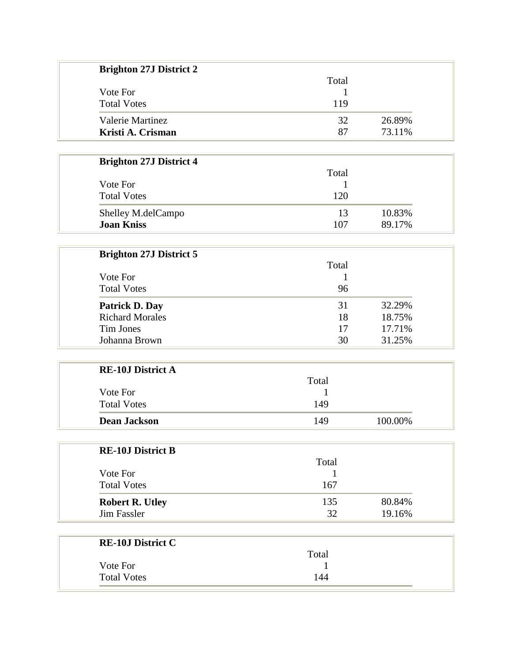| <b>Brighton 27J District 2</b> |              |         |
|--------------------------------|--------------|---------|
|                                | Total        |         |
| Vote For                       | 1            |         |
| <b>Total Votes</b>             | 119          |         |
| Valerie Martinez               | 32           | 26.89%  |
| Kristi A. Crisman              | 87           | 73.11%  |
|                                |              |         |
| <b>Brighton 27J District 4</b> |              |         |
|                                | Total        |         |
| Vote For                       | 1            |         |
| <b>Total Votes</b>             | 120          |         |
| Shelley M.delCampo             | 13           | 10.83%  |
| <b>Joan Kniss</b>              | 107          | 89.17%  |
|                                |              |         |
| <b>Brighton 27J District 5</b> |              |         |
|                                | Total        |         |
| Vote For                       | 1            |         |
| <b>Total Votes</b>             | 96           |         |
| Patrick D. Day                 | 31           | 32.29%  |
| <b>Richard Morales</b>         | 18           | 18.75%  |
| <b>Tim Jones</b>               | 17           | 17.71%  |
| Johanna Brown                  | 30           | 31.25%  |
|                                |              |         |
| <b>RE-10J District A</b>       |              |         |
|                                | Total        |         |
| Vote For                       | 1            |         |
| <b>Total Votes</b>             | 149          |         |
| <b>Dean Jackson</b>            | 149          | 100.00% |
|                                |              |         |
| <b>RE-10J District B</b>       |              |         |
|                                | Total        |         |
| Vote For                       | 1            |         |
| <b>Total Votes</b>             | 167          |         |
| <b>Robert R. Utley</b>         | 135          | 80.84%  |
| <b>Jim Fassler</b>             | 32           | 19.16%  |
|                                |              |         |
| <b>RE-10J District C</b>       |              |         |
|                                | Total        |         |
| Vote For                       | $\mathbf{1}$ |         |
| <b>Total Votes</b>             | 144          |         |
|                                |              |         |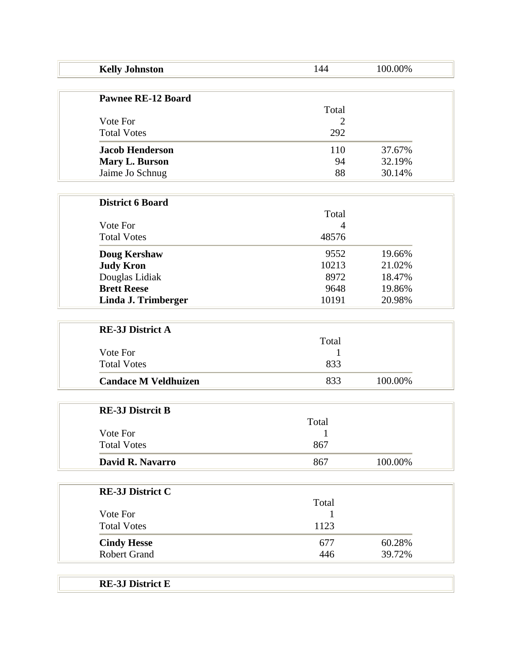| <b>Kelly Johnston</b>       | 144            | 100.00% |
|-----------------------------|----------------|---------|
| <b>Pawnee RE-12 Board</b>   |                |         |
|                             | Total          |         |
| Vote For                    | $\overline{2}$ |         |
| <b>Total Votes</b>          | 292            |         |
| <b>Jacob Henderson</b>      | 110            | 37.67%  |
| Mary L. Burson              | 94             | 32.19%  |
| Jaime Jo Schnug             | 88             | 30.14%  |
|                             |                |         |
| <b>District 6 Board</b>     |                |         |
|                             | Total          |         |
| Vote For                    | 4              |         |
| <b>Total Votes</b>          | 48576          |         |
| Doug Kershaw                | 9552           | 19.66%  |
| <b>Judy Kron</b>            | 10213          | 21.02%  |
| Douglas Lidiak              | 8972           | 18.47%  |
| <b>Brett Reese</b>          | 9648           | 19.86%  |
| Linda J. Trimberger         | 10191          | 20.98%  |
|                             |                |         |
| <b>RE-3J District A</b>     |                |         |
|                             | Total          |         |
| Vote For                    | 1              |         |
| <b>Total Votes</b>          | 833            |         |
| <b>Candace M Veldhuizen</b> | 833            | 100.00% |
| <b>RE-3J Distrcit B</b>     |                |         |
|                             | Total          |         |
| Vote For                    | $\mathbf{1}$   |         |
| <b>Total Votes</b>          | 867            |         |
| David R. Navarro            | 867            | 100.00% |
|                             |                |         |
| <b>RE-3J District C</b>     |                |         |
|                             | Total          |         |
| Vote For                    | 1              |         |
| <b>Total Votes</b>          | 1123           |         |
| <b>Cindy Hesse</b>          | 677            | 60.28%  |
| <b>Robert Grand</b>         | 446            | 39.72%  |

**RE-3J District E**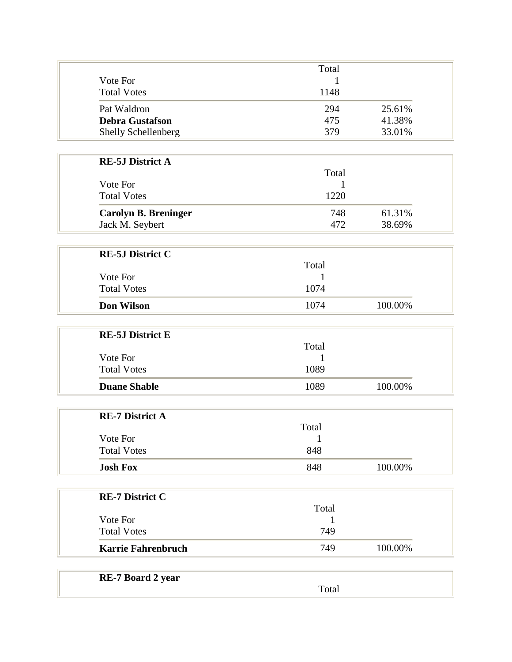|                                | Total           |
|--------------------------------|-----------------|
| Vote For                       | 1               |
| <b>Total Votes</b>             | 1148            |
| Pat Waldron                    | 294<br>25.61%   |
| <b>Debra Gustafson</b>         | 475<br>41.38%   |
| Shelly Schellenberg            | 379<br>33.01%   |
|                                |                 |
| <b>RE-5J District A</b>        | Total           |
| Vote For                       | 1               |
| <b>Total Votes</b>             | 1220            |
| <b>Carolyn B. Breninger</b>    | 61.31%<br>748   |
| Jack M. Seybert                | 472<br>38.69%   |
|                                |                 |
| <b>RE-5J District C</b>        | Total           |
| Vote For                       |                 |
| <b>Total Votes</b>             | 1074            |
| <b>Don Wilson</b>              | 1074<br>100.00% |
|                                |                 |
| <b>RE-5J District E</b>        |                 |
|                                | Total           |
| Vote For<br><b>Total Votes</b> | 1<br>1089       |
| <b>Duane Shable</b>            | 100.00%<br>1089 |
|                                |                 |
| <b>RE-7 District A</b>         |                 |
|                                | Total           |
| Vote For                       | 1               |
| <b>Total Votes</b>             | 848             |
| <b>Josh Fox</b>                | 848<br>100.00%  |
|                                |                 |
| <b>RE-7 District C</b>         | Total           |
| Vote For                       | 1               |
| <b>Total Votes</b>             | 749             |
| <b>Karrie Fahrenbruch</b>      | 749<br>100.00%  |
|                                |                 |
| <b>RE-7 Board 2 year</b>       | Total           |
|                                |                 |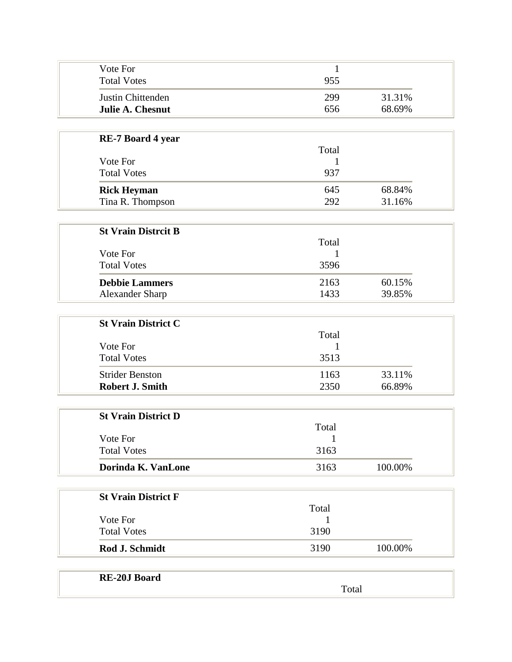| Vote For<br><b>Total Votes</b> | 955 |        |
|--------------------------------|-----|--------|
| Justin Chittenden              | 299 | 31.31% |
| Julie A. Chesnut               | 656 | 68.69% |

| <b>RE-7 Board 4 year</b> |       |        |
|--------------------------|-------|--------|
|                          | Total |        |
| Vote For                 |       |        |
| <b>Total Votes</b>       | 937   |        |
| <b>Rick Heyman</b>       | 645   | 68.84% |
| Tina R. Thompson         | 292   | 31.16% |

| <b>St Vrain Distrcit B</b> |       |        |
|----------------------------|-------|--------|
|                            | Total |        |
| Vote For                   |       |        |
| <b>Total Votes</b>         | 3596  |        |
| <b>Debbie Lammers</b>      | 2163  | 60.15% |
| Alexander Sharp            | 1433  | 39.85% |

| <b>St Vrain District C</b> |       |        |
|----------------------------|-------|--------|
|                            | Total |        |
| Vote For                   |       |        |
| <b>Total Votes</b>         | 3513  |        |
| <b>Strider Benston</b>     | 1163  | 33.11% |
| <b>Robert J. Smith</b>     | 2350  | 66.89% |

| <b>St Vrain District D</b> |       |         |
|----------------------------|-------|---------|
|                            | Total |         |
| Vote For                   |       |         |
| <b>Total Votes</b>         | 3163  |         |
| Dorinda K. VanLone         | 3163  | 100.00% |

| <b>St Vrain District F</b> |       |         |
|----------------------------|-------|---------|
|                            | Total |         |
| Vote For                   |       |         |
| <b>Total Votes</b>         | 3190  |         |
| Rod J. Schmidt             | 3190  | 100.00% |

| <b>RE-20J</b><br><b>Board</b><br>varu |     |
|---------------------------------------|-----|
|                                       | лаг |
|                                       |     |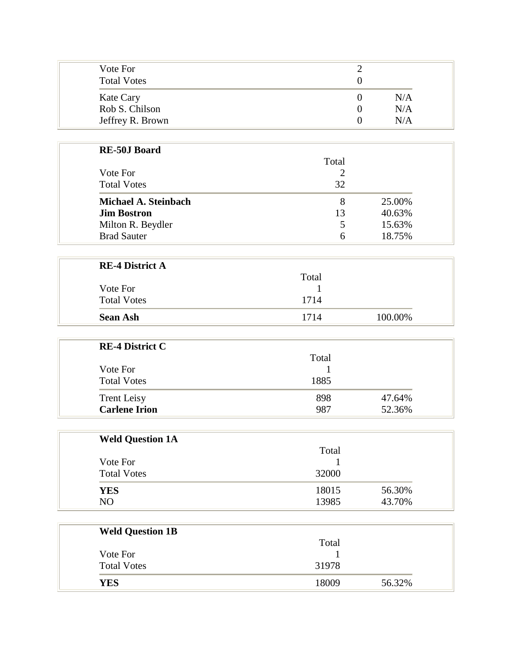| Vote For<br><b>Total Votes</b> |     |
|--------------------------------|-----|
| <b>Kate Cary</b>               | N/A |
| Rob S. Chilson                 | N/A |
| Jeffrey R. Brown               | N/A |

| <b>RE-50J Board</b>  |       |        |
|----------------------|-------|--------|
|                      | Total |        |
| Vote For             |       |        |
| <b>Total Votes</b>   | 32    |        |
| Michael A. Steinbach | 8     | 25.00% |
| <b>Jim Bostron</b>   | 13    | 40.63% |
| Milton R. Beydler    | 5     | 15.63% |
| <b>Brad Sauter</b>   | 6     | 18.75% |

| <b>RE-4 District A</b> |       |         |
|------------------------|-------|---------|
|                        | Total |         |
| Vote For               |       |         |
| <b>Total Votes</b>     | 1714  |         |
| <b>Sean Ash</b>        | 1714  | 100.00% |

| <b>RE-4 District C</b> |       |        |
|------------------------|-------|--------|
|                        | Total |        |
| Vote For               |       |        |
| <b>Total Votes</b>     | 1885  |        |
| <b>Trent Leisy</b>     | 898   | 47.64% |
| <b>Carlene Irion</b>   | 987   | 52.36% |

| <b>Weld Question 1A</b> |       |        |
|-------------------------|-------|--------|
|                         | Total |        |
| Vote For                |       |        |
| <b>Total Votes</b>      | 32000 |        |
| <b>YES</b>              | 18015 | 56.30% |
| NO                      | 13985 | 43.70% |

| <b>Weld Question 1B</b> |       |        |
|-------------------------|-------|--------|
|                         | Total |        |
| Vote For                |       |        |
| <b>Total Votes</b>      | 31978 |        |
| <b>YES</b>              | 18009 | 56.32% |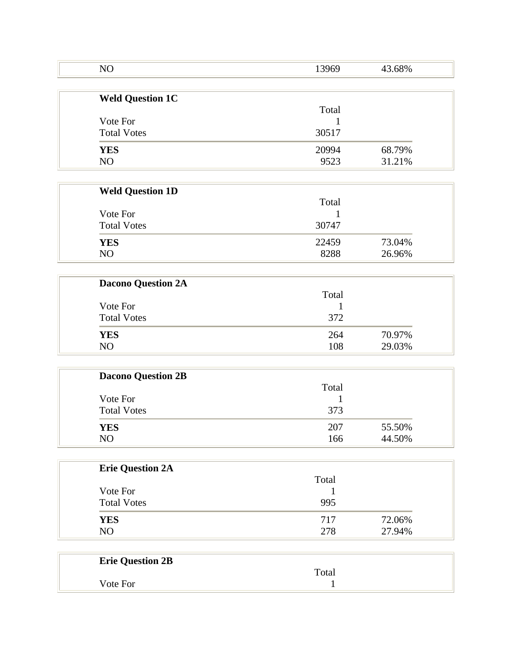| NO                      | 13969 | 43.68% |
|-------------------------|-------|--------|
| <b>Weld Question 1C</b> |       |        |
|                         | Total |        |
| Vote For                |       |        |
| <b>Total Votes</b>      | 30517 |        |
| <b>YES</b>              | 20994 | 68.79% |
| N <sub>O</sub>          | 9523  | 31.21% |

| <b>Weld Question 1D</b> |       |        |
|-------------------------|-------|--------|
|                         | Total |        |
| Vote For                |       |        |
| <b>Total Votes</b>      | 30747 |        |
| <b>YES</b>              | 22459 | 73.04% |
| N <sub>O</sub>          | 8288  | 26.96% |

| <b>Dacono Question 2A</b> |       |        |
|---------------------------|-------|--------|
|                           | Total |        |
| Vote For                  |       |        |
| <b>Total Votes</b>        | 372   |        |
| <b>YES</b>                | 264   | 70.97% |
| NO                        | 108   | 29.03% |

| <b>Dacono Question 2B</b> |       |        |
|---------------------------|-------|--------|
|                           | Total |        |
| Vote For                  |       |        |
| <b>Total Votes</b>        | 373   |        |
| <b>YES</b>                | 207   | 55.50% |
| N <sub>O</sub>            | 166   | 44.50% |

| <b>Erie Question 2A</b> |       |        |
|-------------------------|-------|--------|
|                         | Total |        |
| Vote For                |       |        |
| <b>Total Votes</b>      | 995   |        |
| <b>YES</b>              | 717   | 72.06% |
| N <sub>O</sub>          | 278   | 27.94% |

| <b>Erie Question 2B</b> |       |
|-------------------------|-------|
|                         | Total |
| Vote For                |       |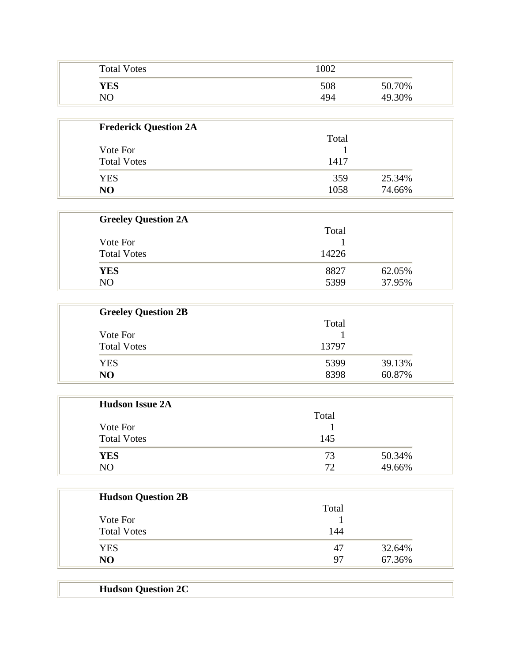| <b>Total Votes</b> | 1002 |        |
|--------------------|------|--------|
| YES                | 508  | 50.70% |
| NO                 | 494  | 49.30% |

| <b>Frederick Question 2A</b> |       |        |
|------------------------------|-------|--------|
|                              | Total |        |
| Vote For                     |       |        |
| <b>Total Votes</b>           | 1417  |        |
| <b>YES</b>                   | 359   | 25.34% |
| N <sub>O</sub>               | 1058  | 74.66% |

| <b>Greeley Question 2A</b> |       |        |
|----------------------------|-------|--------|
| Vote For                   | Total |        |
|                            |       |        |
| <b>Total Votes</b>         | 14226 |        |
| <b>YES</b>                 | 8827  | 62.05% |
| NO                         | 5399  | 37.95% |

| <b>Greeley Question 2B</b> |       |        |
|----------------------------|-------|--------|
|                            | Total |        |
| Vote For                   |       |        |
| <b>Total Votes</b>         | 13797 |        |
| <b>YES</b>                 | 5399  | 39.13% |
| N <sub>O</sub>             | 8398  | 60.87% |

| <b>Hudson Issue 2A</b> |       |        |
|------------------------|-------|--------|
| Vote For               | Total |        |
|                        |       |        |
| <b>Total Votes</b>     | 145   |        |
| <b>YES</b>             | 73    | 50.34% |
| NO                     | 72    | 49.66% |

| <b>Hudson Question 2B</b> |       |        |
|---------------------------|-------|--------|
|                           | Total |        |
| Vote For                  |       |        |
| <b>Total Votes</b>        | 144   |        |
| <b>YES</b>                | 47    | 32.64% |
| N <sub>O</sub>            | 97    | 67.36% |

| <b>Hudson Question 2C</b> |  |
|---------------------------|--|
|                           |  |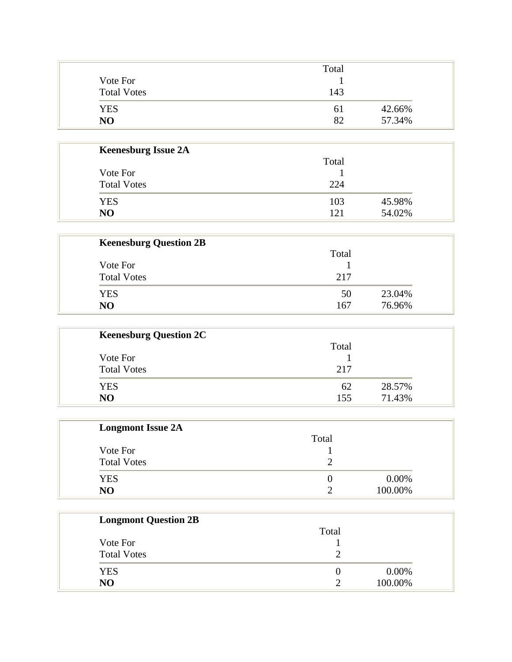|                    | Total |        |
|--------------------|-------|--------|
| Vote For           |       |        |
| <b>Total Votes</b> | 143   |        |
| <b>YES</b>         | 61    | 42.66% |
| N <sub>O</sub>     | 82    | 57.34% |

| <b>Keenesburg Issue 2A</b> |       |        |
|----------------------------|-------|--------|
|                            | Total |        |
| Vote For                   |       |        |
| <b>Total Votes</b>         | 224   |        |
| <b>YES</b>                 | 103   | 45.98% |
| N <sub>O</sub>             | 121   | 54.02% |

| <b>Keenesburg Question 2B</b> |       |        |
|-------------------------------|-------|--------|
|                               | Total |        |
| Vote For                      |       |        |
| <b>Total Votes</b>            | 217   |        |
| <b>YES</b>                    | 50    | 23.04% |
| N <sub>O</sub>                | 167   | 76.96% |

| <b>Keenesburg Question 2C</b> |       |        |
|-------------------------------|-------|--------|
|                               | Total |        |
| Vote For                      |       |        |
| <b>Total Votes</b>            | 217   |        |
| <b>YES</b>                    | 62    | 28.57% |
| N <sub>O</sub>                | 155   | 71.43% |

| <b>Longmont Issue 2A</b> |       |         |
|--------------------------|-------|---------|
|                          | Total |         |
| Vote For                 |       |         |
| <b>Total Votes</b>       |       |         |
| <b>YES</b>               |       | 0.00%   |
| N <sub>O</sub>           |       | 100.00% |

| <b>Longmont Question 2B</b> |       |         |
|-----------------------------|-------|---------|
| Vote For                    | Total |         |
|                             |       |         |
| <b>Total Votes</b>          |       |         |
| <b>YES</b>                  |       | 0.00%   |
| NO                          |       | 100.00% |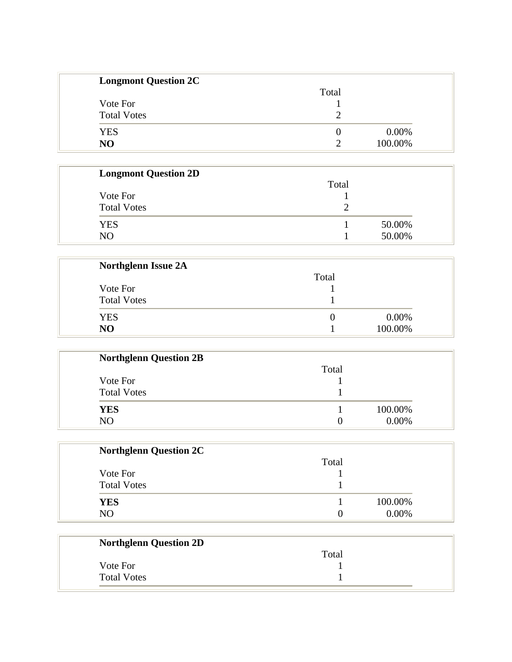| <b>Longmont Question 2C</b> |       |         |
|-----------------------------|-------|---------|
|                             | Total |         |
| Vote For                    |       |         |
| <b>Total Votes</b>          |       |         |
| <b>YES</b>                  |       | 0.00%   |
| N <sub>O</sub>              | ി     | 100.00% |

| <b>Longmont Question 2D</b> |       |        |
|-----------------------------|-------|--------|
|                             | Total |        |
| Vote For                    |       |        |
| <b>Total Votes</b>          |       |        |
| <b>YES</b>                  |       | 50.00% |
| NO                          |       | 50.00% |

| <b>Northglenn Issue 2A</b> |       |         |
|----------------------------|-------|---------|
|                            | Total |         |
| Vote For                   |       |         |
| <b>Total Votes</b>         |       |         |
| <b>YES</b>                 |       | 0.00%   |
| N <sub>O</sub>             |       | 100.00% |

| <b>Northglenn Question 2B</b> |       |         |
|-------------------------------|-------|---------|
|                               | Total |         |
| Vote For                      |       |         |
| <b>Total Votes</b>            |       |         |
| <b>YES</b>                    |       | 100.00% |
| N <sub>O</sub>                |       | 0.00%   |

| <b>Northglenn Question 2C</b> |                   |         |
|-------------------------------|-------------------|---------|
|                               | Total             |         |
| Vote For                      |                   |         |
| <b>Total Votes</b>            |                   |         |
| <b>YES</b>                    |                   | 100.00% |
| N <sub>O</sub>                | $\mathbf{\Omega}$ | 0.00%   |

| <b>Northglenn Question 2D</b> |       |
|-------------------------------|-------|
|                               | Total |
| Vote For                      |       |
| <b>Total Votes</b>            |       |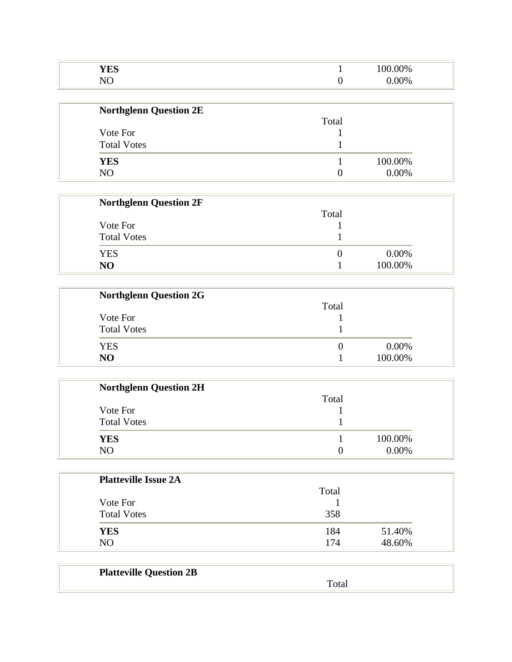| <b>TIMA</b><br><b>TED</b> | 00%                    |  |
|---------------------------|------------------------|--|
|                           | $\gamma$ <sub>0%</sub> |  |

| <b>Northglenn Question 2E</b> |                   |          |
|-------------------------------|-------------------|----------|
| Vote For                      | Total             |          |
|                               |                   |          |
| <b>Total Votes</b>            |                   |          |
| <b>YES</b>                    |                   | 100.00%  |
| NO                            | $\mathbf{\Omega}$ | $0.00\%$ |

| <b>Northglenn Question 2F</b> |       |          |
|-------------------------------|-------|----------|
|                               | Total |          |
| Vote For                      |       |          |
| <b>Total Votes</b>            |       |          |
| YES                           |       | $0.00\%$ |
| N <sub>O</sub>                |       | 100.00%  |

| <b>Northglenn Question 2G</b> |       |         |
|-------------------------------|-------|---------|
|                               | Total |         |
| Vote For                      |       |         |
| <b>Total Votes</b>            |       |         |
| <b>YES</b>                    |       | 0.00%   |
| NO.                           |       | 100.00% |

| <b>Northglenn Question 2H</b> |          |          |
|-------------------------------|----------|----------|
|                               | Total    |          |
| Vote For                      |          |          |
| <b>Total Votes</b>            |          |          |
| <b>YES</b>                    |          | 100.00%  |
| N <sub>O</sub>                | $\theta$ | $0.00\%$ |

| <b>Platteville Issue 2A</b> |       |        |
|-----------------------------|-------|--------|
|                             | Total |        |
| Vote For                    |       |        |
| <b>Total Votes</b>          | 358   |        |
| <b>YES</b>                  | 184   | 51.40% |
| N <sub>O</sub>              | 174   | 48.60% |

| <b>Platteville Question 2B</b> |  |
|--------------------------------|--|
|                                |  |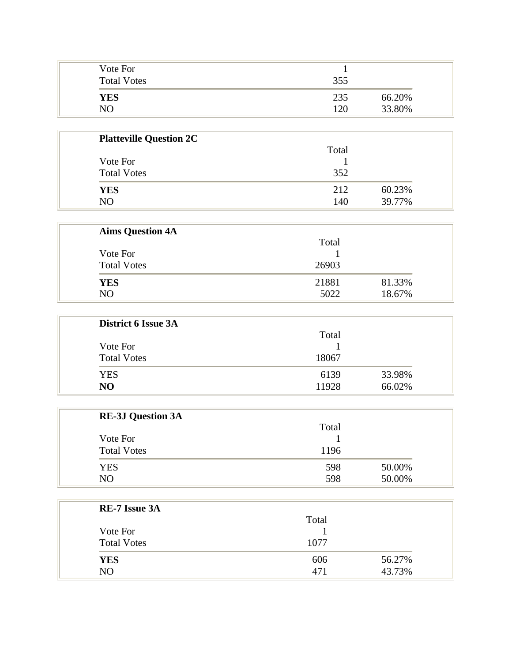| Vote For<br><b>Total Votes</b> | 355                            |
|--------------------------------|--------------------------------|
| <b>YES</b><br>NО               | 66.20%<br>235<br>33.80%<br>120 |

| <b>Platteville Question 2C</b> |       |        |
|--------------------------------|-------|--------|
|                                | Total |        |
| Vote For                       |       |        |
| <b>Total Votes</b>             | 352   |        |
| <b>YES</b>                     | 212   | 60.23% |
| N()                            | 140   | 39.77% |

| <b>Aims Question 4A</b> |       |        |
|-------------------------|-------|--------|
| Vote For                | Total |        |
|                         |       |        |
| <b>Total Votes</b>      | 26903 |        |
| <b>YES</b>              | 21881 | 81.33% |
| N <sub>O</sub>          | 5022  | 18.67% |

| <b>District 6 Issue 3A</b> |       |        |
|----------------------------|-------|--------|
|                            | Total |        |
| Vote For                   |       |        |
| <b>Total Votes</b>         | 18067 |        |
| <b>YES</b>                 | 6139  | 33.98% |
| NO                         | 11928 | 66.02% |

| <b>RE-3J Question 3A</b>       |               |        |
|--------------------------------|---------------|--------|
| Vote For<br><b>Total Votes</b> | Total<br>1196 |        |
|                                |               |        |
|                                |               |        |
| <b>YES</b>                     | 598           | 50.00% |
| N <sub>O</sub>                 | 598           | 50.00% |

| <b>RE-7 Issue 3A</b> |       |        |
|----------------------|-------|--------|
|                      | Total |        |
| Vote For             |       |        |
| <b>Total Votes</b>   | 1077  |        |
| <b>YES</b>           | 606   | 56.27% |
| NO                   | 471   | 43.73% |